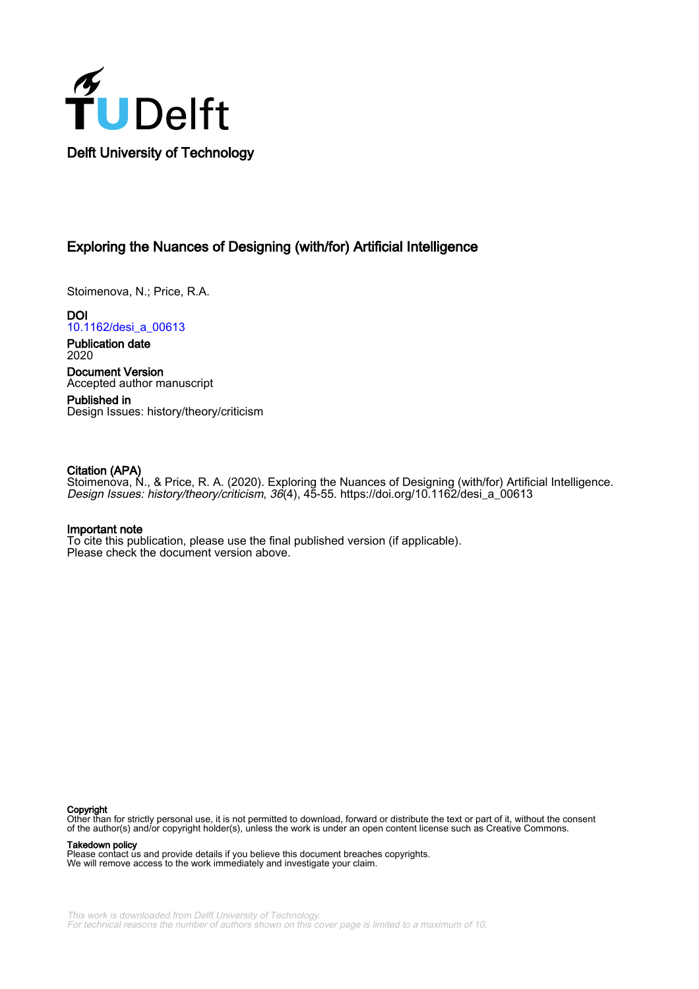

# Exploring the Nuances of Designing (with/for) Artificial Intelligence

Stoimenova, N.; Price, R.A.

**DOI** [10.1162/desi\\_a\\_00613](https://doi.org/10.1162/desi_a_00613)

Publication date 2020

Document Version Accepted author manuscript

Published in Design Issues: history/theory/criticism

#### Citation (APA)

Stoimenova, N., & Price, R. A. (2020). Exploring the Nuances of Designing (with/for) Artificial Intelligence. Design Issues: history/theory/criticism, 36(4), 45-55. [https://doi.org/10.1162/desi\\_a\\_00613](https://doi.org/10.1162/desi_a_00613)

### Important note

To cite this publication, please use the final published version (if applicable). Please check the document version above.

#### Copyright

Other than for strictly personal use, it is not permitted to download, forward or distribute the text or part of it, without the consent of the author(s) and/or copyright holder(s), unless the work is under an open content license such as Creative Commons.

Takedown policy

Please contact us and provide details if you believe this document breaches copyrights. We will remove access to the work immediately and investigate your claim.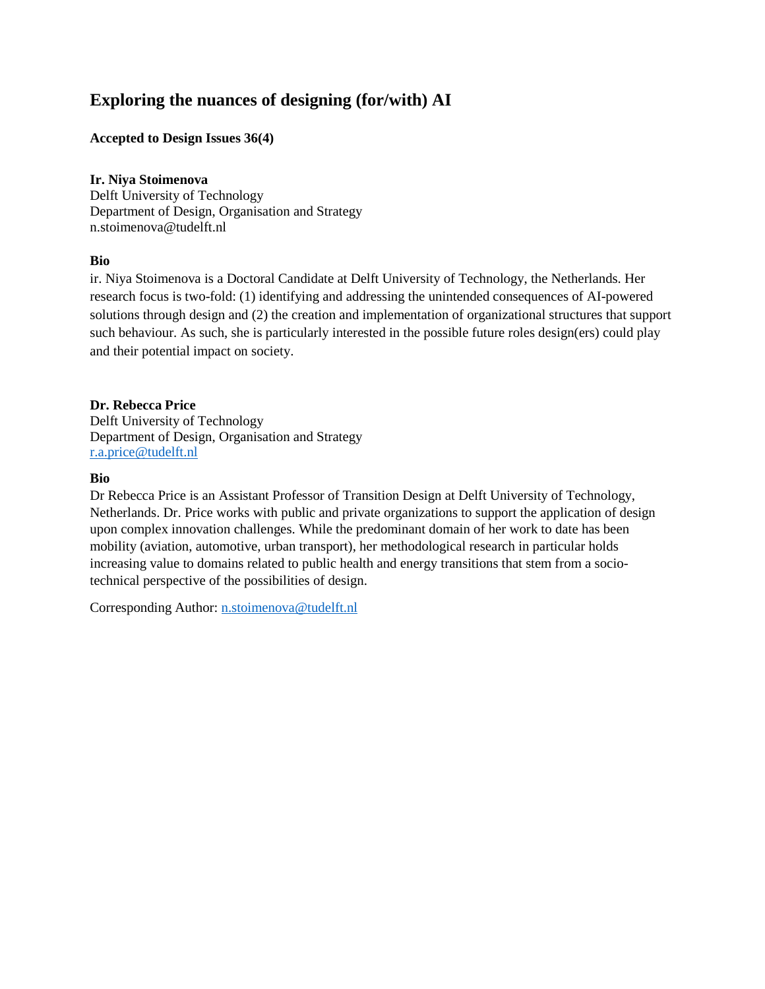# **Exploring the nuances of designing (for/with) AI**

## **Accepted to Design Issues 36(4)**

## **Ir. Niya Stoimenova**

Delft University of Technology Department of Design, Organisation and Strategy n.stoimenova@tudelft.nl

## **Bio**

ir. Niya Stoimenova is a Doctoral Candidate at Delft University of Technology, the Netherlands. Her research focus is two-fold: (1) identifying and addressing the unintended consequences of AI-powered solutions through design and (2) the creation and implementation of organizational structures that support such behaviour. As such, she is particularly interested in the possible future roles design(ers) could play and their potential impact on society.

## **Dr. Rebecca Price**

Delft University of Technology Department of Design, Organisation and Strategy [r.a.price@tudelft.nl](mailto:r.a.price@tudelft.nl)

### **Bio**

Dr Rebecca Price is an Assistant Professor of Transition Design at Delft University of Technology, Netherlands. Dr. Price works with public and private organizations to support the application of design upon complex innovation challenges. While the predominant domain of her work to date has been mobility (aviation, automotive, urban transport), her methodological research in particular holds increasing value to domains related to public health and energy transitions that stem from a sociotechnical perspective of the possibilities of design.

Corresponding Author: [n.stoimenova@tudelft.nl](mailto:n.stoimenova@tudelft.nl)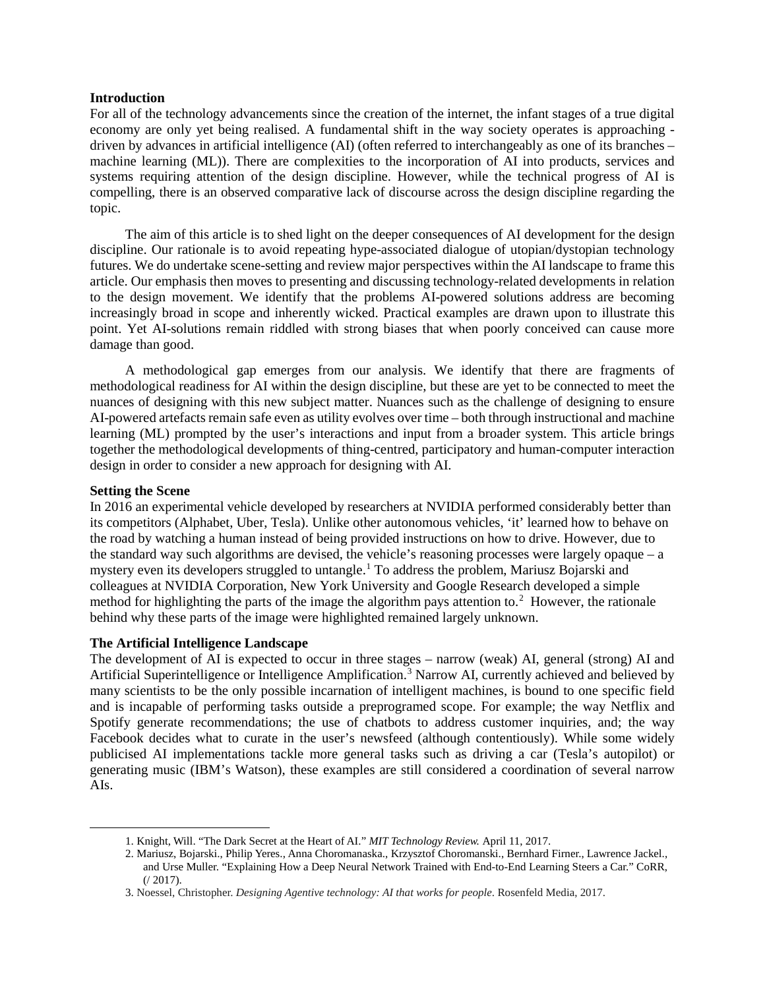#### **Introduction**

For all of the technology advancements since the creation of the internet, the infant stages of a true digital economy are only yet being realised. A fundamental shift in the way society operates is approaching driven by advances in artificial intelligence (AI) (often referred to interchangeably as one of its branches – machine learning (ML)). There are complexities to the incorporation of AI into products, services and systems requiring attention of the design discipline. However, while the technical progress of AI is compelling, there is an observed comparative lack of discourse across the design discipline regarding the topic.

The aim of this article is to shed light on the deeper consequences of AI development for the design discipline. Our rationale is to avoid repeating hype-associated dialogue of utopian/dystopian technology futures. We do undertake scene-setting and review major perspectives within the AI landscape to frame this article. Our emphasis then moves to presenting and discussing technology-related developments in relation to the design movement. We identify that the problems AI-powered solutions address are becoming increasingly broad in scope and inherently wicked. Practical examples are drawn upon to illustrate this point. Yet AI-solutions remain riddled with strong biases that when poorly conceived can cause more damage than good.

A methodological gap emerges from our analysis. We identify that there are fragments of methodological readiness for AI within the design discipline, but these are yet to be connected to meet the nuances of designing with this new subject matter. Nuances such as the challenge of designing to ensure AI-powered artefacts remain safe even as utility evolves over time – both through instructional and machine learning (ML) prompted by the user's interactions and input from a broader system. This article brings together the methodological developments of thing-centred, participatory and human-computer interaction design in order to consider a new approach for designing with AI.

#### **Setting the Scene**

<span id="page-2-2"></span><span id="page-2-1"></span><span id="page-2-0"></span> $\overline{a}$ 

In 2016 an experimental vehicle developed by researchers at NVIDIA performed considerably better than its competitors (Alphabet, Uber, Tesla). Unlike other autonomous vehicles, 'it' learned how to behave on the road by watching a human instead of being provided instructions on how to drive. However, due to the standard way such algorithms are devised, the vehicle's reasoning processes were largely opaque – a mystery even its developers struggled to untangle[.1](#page-2-0) To address the problem, Mariusz Bojarski and colleagues at NVIDIA Corporation, New York University and Google Research developed a simple method for highlighting the parts of the image the algorithm pays attention to.<sup>[2](#page-2-1)</sup> However, the rationale behind why these parts of the image were highlighted remained largely unknown.

#### **The Artificial Intelligence Landscape**

The development of AI is expected to occur in three stages – narrow (weak) AI, general (strong) AI and Artificial Superintelligence or Intelligence Amplification. [3](#page-2-2) Narrow AI, currently achieved and believed by many scientists to be the only possible incarnation of intelligent machines, is bound to one specific field and is incapable of performing tasks outside a preprogramed scope. For example; the way Netflix and Spotify generate recommendations; the use of chatbots to address customer inquiries, and; the way Facebook decides what to curate in the user's newsfeed (although contentiously). While some widely publicised AI implementations tackle more general tasks such as driving a car (Tesla's autopilot) or generating music (IBM's Watson), these examples are still considered a coordination of several narrow AIs.

<sup>1.</sup> Knight, Will. "The Dark Secret at the Heart of AI." *MIT Technology Review.* April 11, 2017.

<sup>2.</sup> Mariusz, Bojarski., Philip Yeres., Anna Choromanaska., Krzysztof Choromanski., Bernhard Firner., Lawrence Jackel., and Urse Muller. "Explaining How a Deep Neural Network Trained with End-to-End Learning Steers a Car." CoRR, (/ 2017).

<sup>3.</sup> Noessel, Christopher. *Designing Agentive technology: AI that works for people*. Rosenfeld Media, 2017.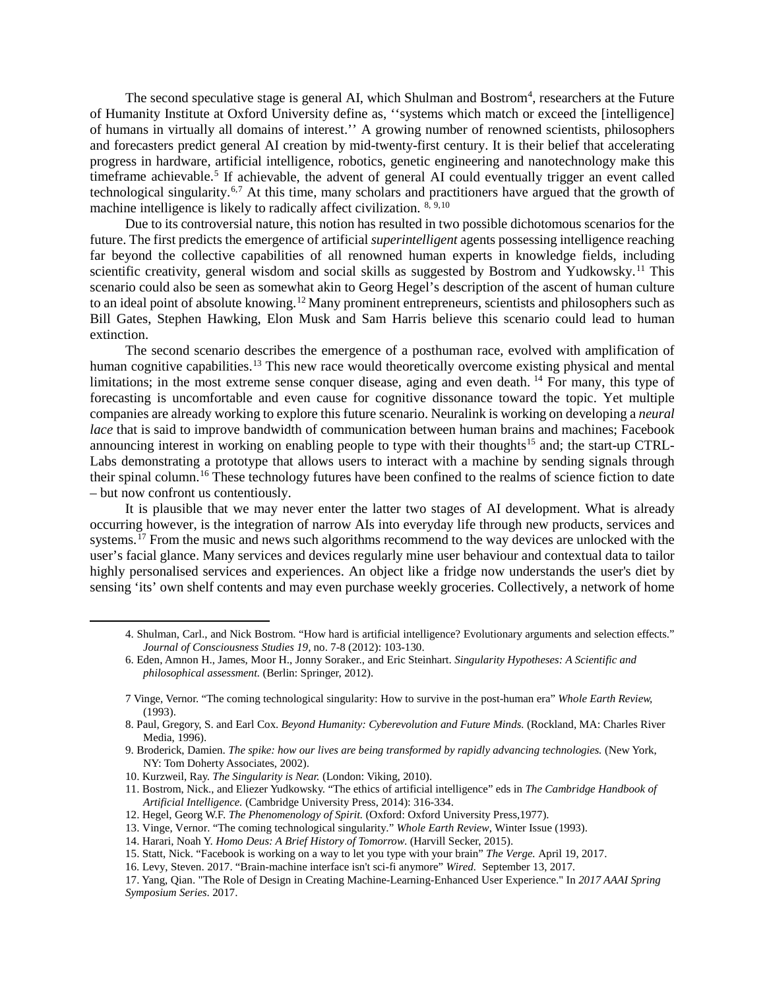The second speculative stage is general AI, which Shulman and Bostrom<sup>[4](#page-3-0)</sup>, researchers at the Future of Humanity Institute at Oxford University define as, ''systems which match or exceed the [intelligence] of humans in virtually all domains of interest.'' A growing number of renowned scientists, philosophers and forecasters predict general AI creation by mid-twenty-first century. It is their belief that accelerating progress in hardware, artificial intelligence, robotics, genetic engineering and nanotechnology make this timeframe achievable.<sup>5</sup> If achievable, the advent of general AI could eventually trigger an event called technological singularity.<sup>[6,](#page-3-2)[7](#page-3-3)</sup> At this time, many scholars and practitioners have argued that the growth of machine intelligence is likely to radically affect civilization.  $8,9,10$  $8,9,10$  $8,9,10$  $8,9,10$ 

Due to its controversial nature, this notion has resulted in two possible dichotomous scenarios for the future. The first predicts the emergence of artificial *superintelligent* agents possessing intelligence reaching far beyond the collective capabilities of all renowned human experts in knowledge fields, including scientific creativity, general wisdom and social skills as suggested by Bostrom and Yudkowsky.<sup>[11](#page-3-7)</sup> This scenario could also be seen as somewhat akin to Georg Hegel's description of the ascent of human culture to an ideal point of absolute knowing.<sup>[12](#page-3-8)</sup> Many prominent entrepreneurs, scientists and philosophers such as Bill Gates, Stephen Hawking, Elon Musk and Sam Harris believe this scenario could lead to human extinction.

The second scenario describes the emergence of a posthuman race, evolved with amplification of human cognitive capabilities.<sup>[13](#page-3-9)</sup> This new race would theoretically overcome existing physical and mental limitations; in the most extreme sense conquer disease, aging and even death.<sup>[14](#page-3-10)</sup> For many, this type of forecasting is uncomfortable and even cause for cognitive dissonance toward the topic. Yet multiple companies are already working to explore this future scenario. Neuralink is working on developing a *neural lace* that is said to improve bandwidth of communication between human brains and machines; Facebook announcing interest in working on enabling people to type with their thoughts<sup>[15](#page-3-11)</sup> and; the start-up CTRL-Labs demonstrating a prototype that allows users to interact with a machine by sending signals through their spinal column. [16](#page-3-12) These technology futures have been confined to the realms of science fiction to date – but now confront us contentiously.

It is plausible that we may never enter the latter two stages of AI development. What is already occurring however, is the integration of narrow AIs into everyday life through new products, services and systems.<sup>[17](#page-3-13)</sup> From the music and news such algorithms recommend to the way devices are unlocked with the user's facial glance. Many services and devices regularly mine user behaviour and contextual data to tailor highly personalised services and experiences. An object like a fridge now understands the user's diet by sensing 'its' own shelf contents and may even purchase weekly groceries. Collectively, a network of home

- <span id="page-3-5"></span>9. Broderick, Damien. *The spike: how our lives are being transformed by rapidly advancing technologies.* (New York, NY: Tom Doherty Associates, 2002).
- <span id="page-3-6"></span>10. Kurzweil, Ray. *The Singularity is Near.* (London: Viking, 2010).

<span id="page-3-3"></span><span id="page-3-2"></span><span id="page-3-1"></span><span id="page-3-0"></span>l

- <span id="page-3-7"></span>11. Bostrom, Nick., and Eliezer Yudkowsky. "The ethics of artificial intelligence" eds in *The Cambridge Handbook of Artificial Intelligence.* (Cambridge University Press, 2014): 316-334.
- <span id="page-3-8"></span>12. Hegel, Georg W.F. *The Phenomenology of Spirit.* (Oxford: Oxford University Press,1977).
- 13. Vinge, Vernor. "The coming technological singularity." *Whole Earth Review*, Winter Issue (1993).
- <span id="page-3-10"></span><span id="page-3-9"></span>14. Harari, Noah Y. *Homo Deus: A Brief History of Tomorrow*. (Harvill Secker, 2015).
- <span id="page-3-11"></span>15. Statt, Nick. "Facebook is working on a way to let you type with your brain" *The Verge.* April 19, 2017.
- 16. Levy, Steven. 2017. "Brain-machine interface isn't sci-fi anymore" *Wired.* September 13, 2017.

<sup>4.</sup> Shulman, Carl., and Nick Bostrom. "How hard is artificial intelligence? Evolutionary arguments and selection effects." *Journal of Consciousness Studies 19,* no. 7-8 (2012): 103-130.

<sup>6.</sup> Eden, Amnon H., James, Moor H., Jonny Soraker., and Eric Steinhart. *Singularity Hypotheses: A Scientific and philosophical assessment.* (Berlin: Springer, 2012).

<sup>7</sup> Vinge, Vernor. "The coming technological singularity: How to survive in the post-human era" *Whole Earth Review,*  (1993).

<span id="page-3-4"></span><sup>8.</sup> Paul, Gregory, S. and Earl Cox. *Beyond Humanity: Cyberevolution and Future Minds.* (Rockland, MA: Charles River Media, 1996).

<span id="page-3-13"></span><span id="page-3-12"></span><sup>17.</sup> Yang, Qian. "The Role of Design in Creating Machine-Learning-Enhanced User Experience." In *2017 AAAI Spring Symposium Series*. 2017.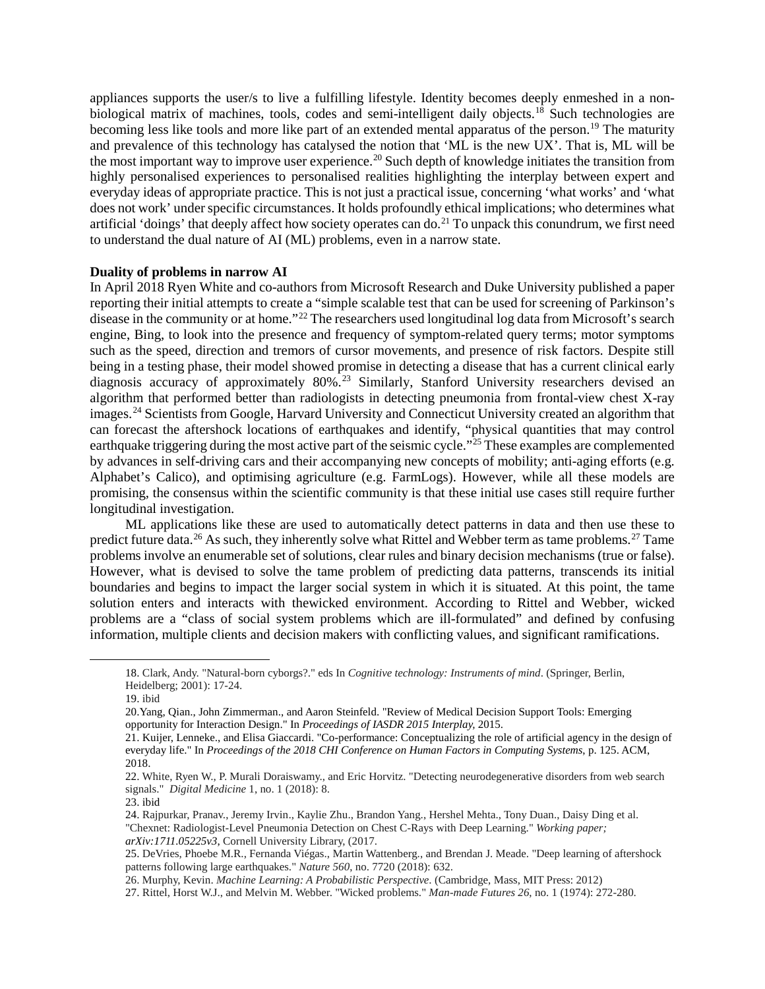appliances supports the user/s to live a fulfilling lifestyle. Identity becomes deeply enmeshed in a nonbiological matrix of machines, tools, codes and semi-intelligent daily objects.[18](#page-4-0) Such technologies are becoming less like tools and more like part of an extended mental apparatus of the person.<sup>[19](#page-4-1)</sup> The maturity and prevalence of this technology has catalysed the notion that 'ML is the new UX'. That is, ML will be the most important way to improve user experience.<sup>[20](#page-4-2)</sup> Such depth of knowledge initiates the transition from highly personalised experiences to personalised realities highlighting the interplay between expert and everyday ideas of appropriate practice. This is not just a practical issue, concerning 'what works' and 'what does not work' under specific circumstances. It holds profoundly ethical implications; who determines what artificial 'doings' that deeply affect how society operates can do. [21](#page-4-3) To unpack this conundrum, we first need to understand the dual nature of AI (ML) problems, even in a narrow state.

#### **Duality of problems in narrow AI**

In April 2018 Ryen White and co-authors from Microsoft Research and Duke University published a paper reporting their initial attempts to create a "simple scalable test that can be used for screening of Parkinson's disease in the community or at home."[22](#page-4-4) The researchers used longitudinal log data from Microsoft's search engine, Bing, to look into the presence and frequency of symptom-related query terms; motor symptoms such as the speed, direction and tremors of cursor movements, and presence of risk factors. Despite still being in a testing phase, their model showed promise in detecting a disease that has a current clinical early diagnosis accuracy of approximately 80%.<sup>[23](#page-4-5)</sup> Similarly, Stanford University researchers devised an algorithm that performed better than radiologists in detecting pneumonia from frontal-view chest X-ray images. [24](#page-4-6) Scientists from Google, Harvard University and Connecticut University created an algorithm that can forecast the aftershock locations of earthquakes and identify, "physical quantities that may control earthquake triggering during the most active part of the seismic cycle."<sup>[25](#page-4-7)</sup> These examples are complemented by advances in self-driving cars and their accompanying new concepts of mobility; anti-aging efforts (e.g. Alphabet's Calico), and optimising agriculture (e.g. FarmLogs). However, while all these models are promising, the consensus within the scientific community is that these initial use cases still require further longitudinal investigation.

ML applications like these are used to automatically detect patterns in data and then use these to predict future data.<sup>[26](#page-4-8)</sup> As such, they inherently solve what Rittel and Webber term as tame problems.<sup>[27](#page-4-9)</sup> Tame problems involve an enumerable set of solutions, clear rules and binary decision mechanisms (true or false). However, what is devised to solve the tame problem of predicting data patterns, transcends its initial boundaries and begins to impact the larger social system in which it is situated. At this point, the tame solution enters and interacts with thewicked environment. According to Rittel and Webber, wicked problems are a "class of social system problems which are ill-formulated" and defined by confusing information, multiple clients and decision makers with conflicting values, and significant ramifications.

<span id="page-4-3"></span><span id="page-4-2"></span><span id="page-4-1"></span><span id="page-4-0"></span>l

<sup>18.</sup> Clark, Andy. "Natural-born cyborgs?." eds In *Cognitive technology: Instruments of mind*. (Springer, Berlin, Heidelberg; 2001): 17-24.

<sup>19.</sup> ibid

<sup>20.</sup>Yang, Qian., John Zimmerman., and Aaron Steinfeld. "Review of Medical Decision Support Tools: Emerging opportunity for Interaction Design." In *Proceedings of IASDR 2015 Interplay,* 2015.

<sup>21.</sup> Kuijer, Lenneke., and Elisa Giaccardi. "Co-performance: Conceptualizing the role of artificial agency in the design of everyday life." In *Proceedings of the 2018 CHI Conference on Human Factors in Computing Systems*, p. 125. ACM, 2018.

<span id="page-4-4"></span><sup>22.</sup> White, Ryen W., P. Murali Doraiswamy., and Eric Horvitz. "Detecting neurodegenerative disorders from web search signals." *Digital Medicine* 1, no. 1 (2018): 8.

<span id="page-4-5"></span><sup>23.</sup> ibid

<span id="page-4-6"></span><sup>24.</sup> Rajpurkar, Pranav., Jeremy Irvin., Kaylie Zhu., Brandon Yang., Hershel Mehta., Tony Duan., Daisy Ding et al. "Chexnet: Radiologist-Level Pneumonia Detection on Chest C-Rays with Deep Learning." *Working paper; arXiv:1711.05225v3*, Cornell University Library, (2017.

<span id="page-4-7"></span><sup>25.</sup> DeVries, Phoebe M.R., Fernanda Viégas., Martin Wattenberg., and Brendan J. Meade. "Deep learning of aftershock patterns following large earthquakes." *Nature 560*, no. 7720 (2018): 632.

<span id="page-4-8"></span><sup>26.</sup> Murphy, Kevin. *Machine Learning: A Probabilistic Perspective*. (Cambridge, Mass, MIT Press: 2012)

<span id="page-4-9"></span><sup>27.</sup> Rittel, Horst W.J., and Melvin M. Webber. "Wicked problems." *Man-made Futures 26*, no. 1 (1974): 272-280.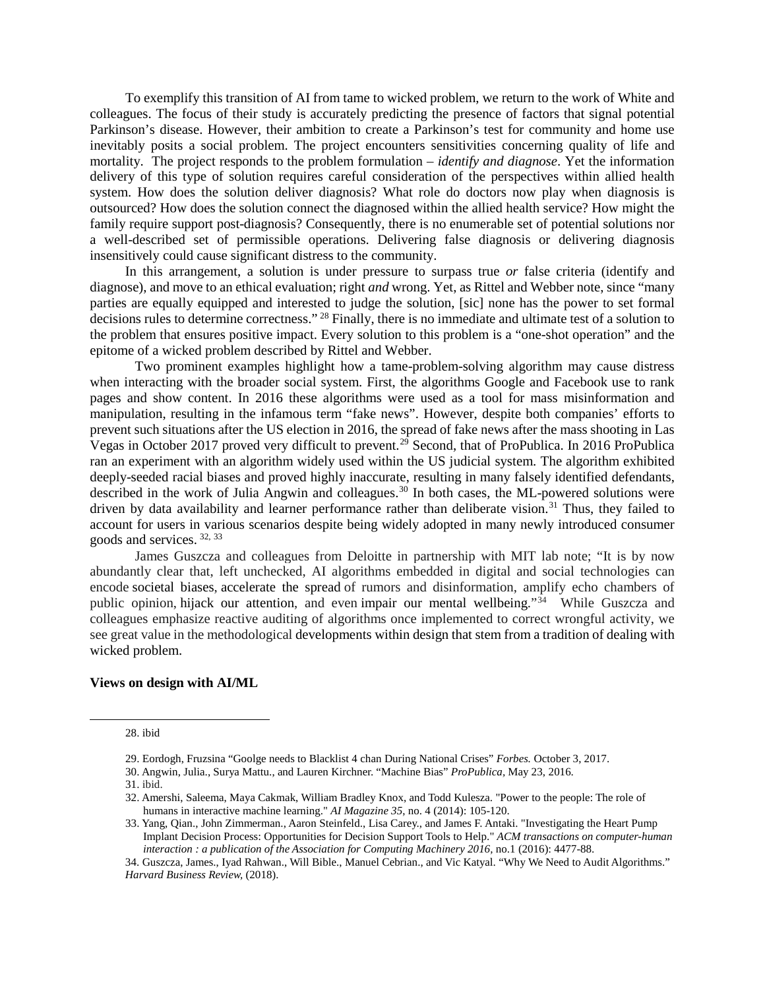To exemplify this transition of AI from tame to wicked problem, we return to the work of White and colleagues. The focus of their study is accurately predicting the presence of factors that signal potential Parkinson's disease. However, their ambition to create a Parkinson's test for community and home use inevitably posits a social problem. The project encounters sensitivities concerning quality of life and mortality. The project responds to the problem formulation – *identify and diagnose*. Yet the information delivery of this type of solution requires careful consideration of the perspectives within allied health system. How does the solution deliver diagnosis? What role do doctors now play when diagnosis is outsourced? How does the solution connect the diagnosed within the allied health service? How might the family require support post-diagnosis? Consequently, there is no enumerable set of potential solutions nor a well-described set of permissible operations. Delivering false diagnosis or delivering diagnosis insensitively could cause significant distress to the community.

In this arrangement, a solution is under pressure to surpass true *or* false criteria (identify and diagnose), and move to an ethical evaluation; right *and* wrong. Yet, as Rittel and Webber note, since "many parties are equally equipped and interested to judge the solution, [sic] none has the power to set formal decisions rules to determine correctness." [28](#page-5-0) Finally, there is no immediate and ultimate test of a solution to the problem that ensures positive impact. Every solution to this problem is a "one-shot operation" and the epitome of a wicked problem described by Rittel and Webber.

Two prominent examples highlight how a tame-problem-solving algorithm may cause distress when interacting with the broader social system. First, the algorithms Google and Facebook use to rank pages and show content. In 2016 these algorithms were used as a tool for mass misinformation and manipulation, resulting in the infamous term "fake news". However, despite both companies' efforts to prevent such situations after the US election in 2016, the spread of fake news after the mass shooting in Las Vegas in October 2017 proved very difficult to prevent.<sup>[29](#page-5-1)</sup> Second, that of ProPublica. In 2016 ProPublica ran an experiment with an algorithm widely used within the US judicial system. The algorithm exhibited deeply-seeded racial biases and proved highly inaccurate, resulting in many falsely identified defendants, described in the work of Julia Angwin and colleagues.<sup>[30](#page-5-2)</sup> In both cases, the ML-powered solutions were driven by data availability and learner performance rather than deliberate vision.<sup>[31](#page-5-3)</sup> Thus, they failed to account for users in various scenarios despite being widely adopted in many newly introduced consumer goods and services. [32](#page-5-4), [33](#page-5-5)

James Guszcza and colleagues from Deloitte in partnership with MIT lab note; "It is by now abundantly clear that, left unchecked, AI algorithms embedded in digital and social technologies can encode societal biases, accelerate the spread of rumors and disinformation, amplify echo chambers of public opinion, hijack our attention, and even impair our mental wellbeing."[34](#page-5-6) While Guszcza and colleagues emphasize reactive auditing of algorithms once implemented to correct wrongful activity, we see great value in the methodological developments within design that stem from a tradition of dealing with wicked problem.

#### **Views on design with AI/ML**

28. ibid

<span id="page-5-4"></span><span id="page-5-3"></span><span id="page-5-2"></span><span id="page-5-1"></span><span id="page-5-0"></span>l

30. Angwin, Julia., Surya Mattu., and Lauren Kirchner. "Machine Bias" *ProPublica,* May 23, 2016.

<sup>29.</sup> Eordogh, Fruzsina "Goolge needs to Blacklist 4 chan During National Crises" *Forbes.* October 3, 2017.

<sup>31.</sup> ibid.

<sup>32.</sup> Amershi, Saleema, Maya Cakmak, William Bradley Knox, and Todd Kulesza. "Power to the people: The role of humans in interactive machine learning." *AI Magazine 35*, no. 4 (2014): 105-120.

<span id="page-5-5"></span><sup>33.</sup> Yang, Qian., John Zimmerman., Aaron Steinfeld., Lisa Carey., and James F. Antaki. "Investigating the Heart Pump Implant Decision Process: Opportunities for Decision Support Tools to Help." *ACM transactions on computer-human interaction : a publication of the Association for Computing Machinery 2016,* no.1 (2016): 4477-88.

<span id="page-5-6"></span><sup>34.</sup> Guszcza, James., Iyad Rahwan., Will Bible., Manuel Cebrian., and Vic Katyal. "Why We Need to Audit Algorithms." *Harvard Business Review,* (2018).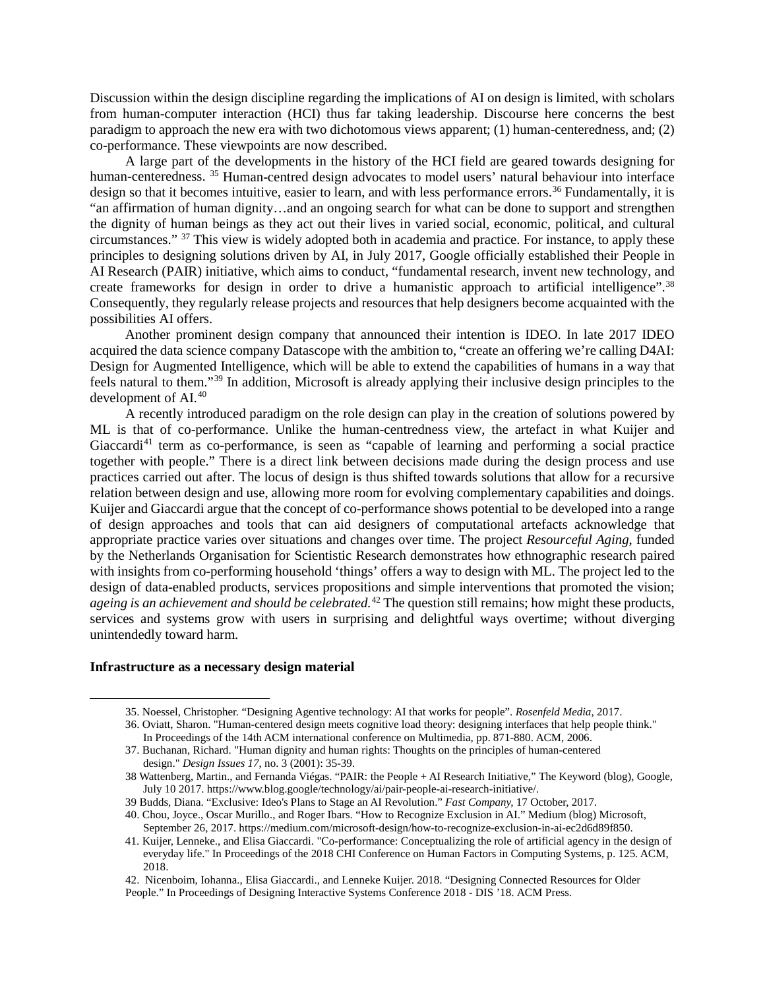Discussion within the design discipline regarding the implications of AI on design is limited, with scholars from human-computer interaction (HCI) thus far taking leadership. Discourse here concerns the best paradigm to approach the new era with two dichotomous views apparent; (1) human-centeredness, and; (2) co-performance. These viewpoints are now described.

A large part of the developments in the history of the HCI field are geared towards designing for human-centeredness.<sup>[35](#page-6-0)</sup> Human-centred design advocates to model users' natural behaviour into interface design so that it becomes intuitive, easier to learn, and with less performance errors.<sup>[36](#page-6-1)</sup> Fundamentally, it is "an affirmation of human dignity…and an ongoing search for what can be done to support and strengthen the dignity of human beings as they act out their lives in varied social, economic, political, and cultural circumstances." [37](#page-6-2) This view is widely adopted both in academia and practice. For instance, to apply these principles to designing solutions driven by AI, in July 2017, Google officially established their People in AI Research (PAIR) initiative, which aims to conduct, "fundamental research, invent new technology, and create frameworks for design in order to drive a humanistic approach to artificial intelligence".<sup>[38](#page-6-3)</sup> Consequently, they regularly release projects and resources that help designers become acquainted with the possibilities AI offers.

Another prominent design company that announced their intention is IDEO. In late 2017 IDEO acquired the data science company Datascope with the ambition to, "create an offering we're calling D4AI: Design for Augmented Intelligence, which will be able to extend the capabilities of humans in a way that feels natural to them."[39](#page-6-4) In addition, Microsoft is already applying their inclusive design principles to the development of AI. [40](#page-6-5)

A recently introduced paradigm on the role design can play in the creation of solutions powered by ML is that of co-performance. Unlike the human-centredness view, the artefact in what Kuijer and Giaccardi<sup>[41](#page-6-6)</sup> term as co-performance, is seen as "capable of learning and performing a social practice together with people." There is a direct link between decisions made during the design process and use practices carried out after. The locus of design is thus shifted towards solutions that allow for a recursive relation between design and use, allowing more room for evolving complementary capabilities and doings. Kuijer and Giaccardi argue that the concept of co-performance shows potential to be developed into a range of design approaches and tools that can aid designers of computational artefacts acknowledge that appropriate practice varies over situations and changes over time. The project *Resourceful Aging*, funded by the Netherlands Organisation for Scientistic Research demonstrates how ethnographic research paired with insights from co-performing household 'things' offers a way to design with ML. The project led to the design of data-enabled products, services propositions and simple interventions that promoted the vision; *ageing is an achievement and should be celebrated.*[42](#page-6-7) The question still remains; how might these products, services and systems grow with users in surprising and delightful ways overtime; without diverging unintendedly toward harm.

#### **Infrastructure as a necessary design material**

<span id="page-6-3"></span><span id="page-6-2"></span><span id="page-6-1"></span><span id="page-6-0"></span> $\overline{a}$ 

<sup>35.</sup> Noessel, Christopher. "Designing Agentive technology: AI that works for people". *Rosenfeld Media*, 2017.

<sup>36.</sup> Oviatt, Sharon. "Human-centered design meets cognitive load theory: designing interfaces that help people think." In Proceedings of the 14th ACM international conference on Multimedia, pp. 871-880. ACM, 2006.

<sup>37.</sup> Buchanan, Richard. "Human dignity and human rights: Thoughts on the principles of human-centered design." *Design Issues 17*, no. 3 (2001): 35-39.

<sup>38</sup> Wattenberg, Martin., and Fernanda Viégas. "PAIR: the People + AI Research Initiative," The Keyword (blog), Google, July 10 2017. https://www.blog.google/technology/ai/pair-people-ai-research-initiative/.

<span id="page-6-4"></span><sup>39</sup> Budds, Diana. "Exclusive: Ideo's Plans to Stage an AI Revolution." *Fast Company,* 17 October, 2017.

<span id="page-6-5"></span><sup>40.</sup> Chou, Joyce., Oscar Murillo., and Roger Ibars. "How to Recognize Exclusion in AI." Medium (blog) Microsoft, September 26, 2017. https://medium.com/microsoft-design/how-to-recognize-exclusion-in-ai-ec2d6d89f850.

<span id="page-6-6"></span><sup>41.</sup> Kuijer, Lenneke., and Elisa Giaccardi. "Co-performance: Conceptualizing the role of artificial agency in the design of everyday life." In Proceedings of the 2018 CHI Conference on Human Factors in Computing Systems, p. 125. ACM, 2018.

<span id="page-6-7"></span><sup>42.</sup> Nicenboim, Iohanna., Elisa Giaccardi., and Lenneke Kuijer. 2018. "Designing Connected Resources for Older People." In Proceedings of Designing Interactive Systems Conference 2018 - DIS '18. ACM Press.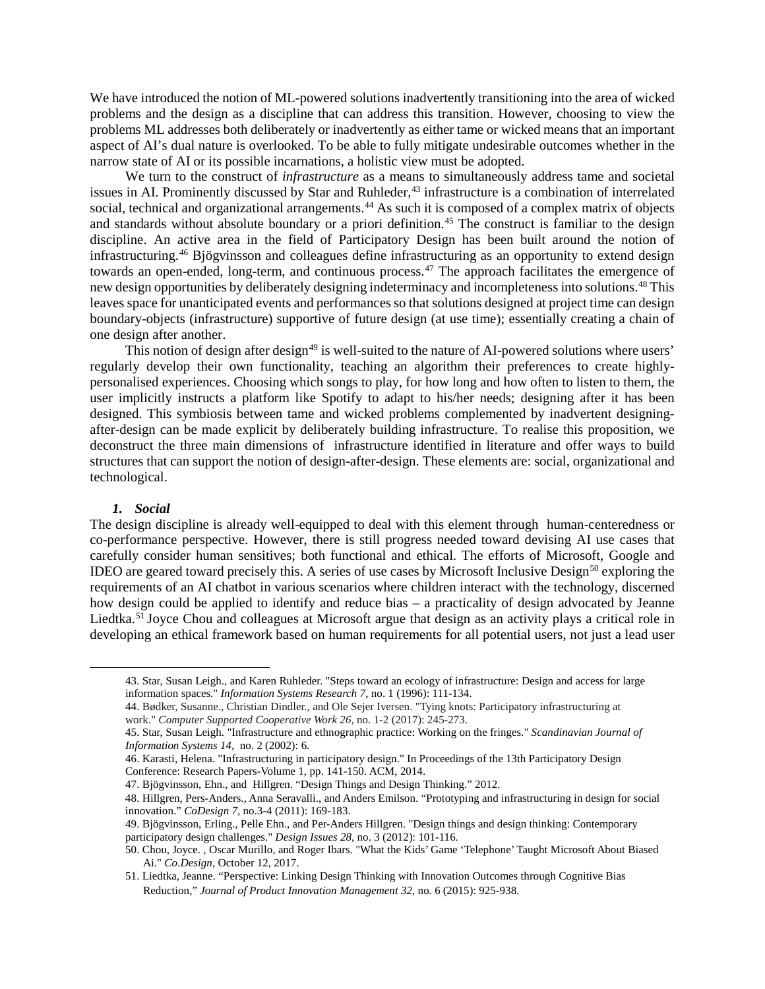We have introduced the notion of ML-powered solutions inadvertently transitioning into the area of wicked problems and the design as a discipline that can address this transition. However, choosing to view the problems ML addresses both deliberately or inadvertently as either tame or wicked means that an important aspect of AI's dual nature is overlooked. To be able to fully mitigate undesirable outcomes whether in the narrow state of AI or its possible incarnations, a holistic view must be adopted.

We turn to the construct of *infrastructure* as a means to simultaneously address tame and societal issues in AI. Prominently discussed by Star and Ruhleder,<sup>[43](#page-7-0)</sup> infrastructure is a combination of interrelated social, technical and organizational arrangements.<sup>[44](#page-7-1)</sup> As such it is composed of a complex matrix of objects and standards without absolute boundary or a priori definition. [45](#page-7-2) The construct is familiar to the design discipline. An active area in the field of Participatory Design has been built around the notion of infrastructuring. [46](#page-7-3) Bjögvinsson and colleagues define infrastructuring as an opportunity to extend design towards an open-ended, long-term, and continuous process. [47](#page-7-4) The approach facilitates the emergence of new design opportunities by deliberately designing indeterminacy and incompleteness into solutions.<sup>[48](#page-7-5)</sup> This leaves space for unanticipated events and performances so that solutions designed at project time can design boundary-objects (infrastructure) supportive of future design (at use time); essentially creating a chain of one design after another.

This notion of design after design<sup>[49](#page-7-6)</sup> is well-suited to the nature of AI-powered solutions where users' regularly develop their own functionality, teaching an algorithm their preferences to create highlypersonalised experiences. Choosing which songs to play, for how long and how often to listen to them, the user implicitly instructs a platform like Spotify to adapt to his/her needs; designing after it has been designed. This symbiosis between tame and wicked problems complemented by inadvertent designingafter-design can be made explicit by deliberately building infrastructure. To realise this proposition, we deconstruct the three main dimensions of infrastructure identified in literature and offer ways to build structures that can support the notion of design-after-design. These elements are: social, organizational and technological.

#### *1. Social*

<span id="page-7-2"></span><span id="page-7-1"></span><span id="page-7-0"></span>l

The design discipline is already well-equipped to deal with this element through human-centeredness or co-performance perspective. However, there is still progress needed toward devising AI use cases that carefully consider human sensitives; both functional and ethical. The efforts of Microsoft, Google and IDEO are geared toward precisely this. A series of use cases by Microsoft Inclusive Design[50](#page-7-7) exploring the requirements of an AI chatbot in various scenarios where children interact with the technology, discerned how design could be applied to identify and reduce bias – a practicality of design advocated by Jeanne Liedtka.<sup>[51](#page-7-8)</sup> Joyce Chou and colleagues at Microsoft argue that design as an activity plays a critical role in developing an ethical framework based on human requirements for all potential users, not just a lead user

<sup>43.</sup> Star, Susan Leigh., and Karen Ruhleder. "Steps toward an ecology of infrastructure: Design and access for large information spaces." *Information Systems Research 7*, no. 1 (1996): 111-134.

<sup>44.</sup> Bødker, Susanne., Christian Dindler., and Ole Sejer Iversen. "Tying knots: Participatory infrastructuring at work." *Computer Supported Cooperative Work 26*, no. 1-2 (2017): 245-273.

<sup>45.</sup> Star, Susan Leigh. "Infrastructure and ethnographic practice: Working on the fringes." *Scandinavian Journal of Information Systems 14,* no. 2 (2002): 6.

<span id="page-7-3"></span><sup>46.</sup> Karasti, Helena. "Infrastructuring in participatory design." In Proceedings of the 13th Participatory Design Conference: Research Papers-Volume 1, pp. 141-150. ACM, 2014.

<span id="page-7-4"></span><sup>47.</sup> [Bjögvinsson, Ehn.](https://www.mitpressjournals.org/author/Bj%C3%B6gvinsson%2C+Erling), and [Hillgren.](https://www.mitpressjournals.org/author/Hillgren%2C+Per-Anders) "Design Things and Design Thinking." 2012.

<span id="page-7-5"></span><sup>48.</sup> Hillgren, Pers-Anders., Anna Seravalli., and Anders Emilson. "Prototyping and infrastructuring in design for social innovation." *CoDesign 7,* no.3-4 (2011): 169-183.

<span id="page-7-6"></span><sup>49.</sup> Bjögvinsson, Erling., Pelle Ehn., and Per-Anders Hillgren. "Design things and design thinking: Contemporary participatory design challenges." *Design Issues 28*, no. 3 (2012): 101-116.

<span id="page-7-7"></span><sup>50.</sup> Chou, Joyce. , Oscar Murillo, and Roger Ibars. "What the Kids' Game 'Telephone' Taught Microsoft About Biased Ai." *Co.Design*, October 12, 2017.

<span id="page-7-8"></span><sup>51.</sup> Liedtka, Jeanne. "Perspective: Linking Design Thinking with Innovation Outcomes through Cognitive Bias Reduction," *Journal of Product Innovation Management 32,* no. 6 (2015): 925-938.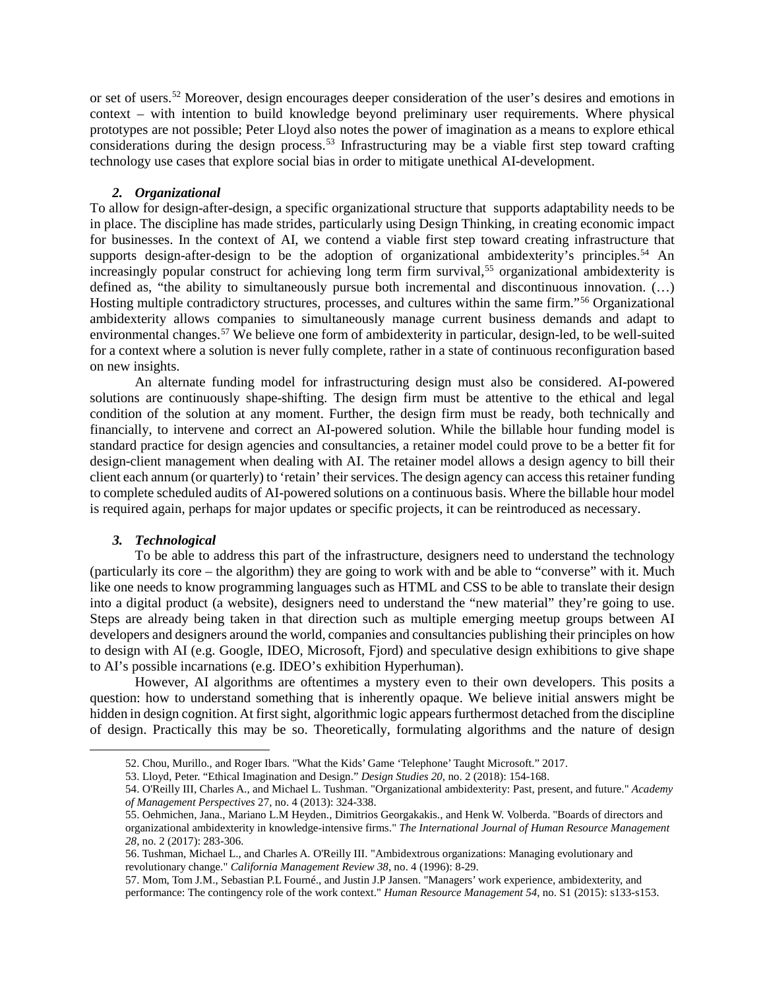or set of users.<sup>[52](#page-8-0)</sup> Moreover, design encourages deeper consideration of the user's desires and emotions in context – with intention to build knowledge beyond preliminary user requirements. Where physical prototypes are not possible; Peter Lloyd also notes the power of imagination as a means to explore ethical considerations during the design process.<sup>[53](#page-8-1)</sup> Infrastructuring may be a viable first step toward crafting technology use cases that explore social bias in order to mitigate unethical AI-development.

#### *2. Organizational*

To allow for design-after-design, a specific organizational structure that supports adaptability needs to be in place. The discipline has made strides, particularly using Design Thinking, in creating economic impact for businesses. In the context of AI, we contend a viable first step toward creating infrastructure that supports design-after-design to be the adoption of organizational ambidexterity's principles.<sup>[54](#page-8-2)</sup> An increasingly popular construct for achieving long term firm survival,<sup>[55](#page-8-3)</sup> organizational ambidexterity is defined as, "the ability to simultaneously pursue both incremental and discontinuous innovation. (…) Hosting multiple contradictory structures, processes, and cultures within the same firm."[56](#page-8-4) Organizational ambidexterity allows companies to simultaneously manage current business demands and adapt to environmental changes. [57](#page-8-5) We believe one form of ambidexterity in particular, design-led, to be well-suited for a context where a solution is never fully complete, rather in a state of continuous reconfiguration based on new insights.

An alternate funding model for infrastructuring design must also be considered. AI-powered solutions are continuously shape-shifting. The design firm must be attentive to the ethical and legal condition of the solution at any moment. Further, the design firm must be ready, both technically and financially, to intervene and correct an AI-powered solution. While the billable hour funding model is standard practice for design agencies and consultancies, a retainer model could prove to be a better fit for design-client management when dealing with AI. The retainer model allows a design agency to bill their client each annum (or quarterly) to 'retain' their services. The design agency can access this retainer funding to complete scheduled audits of AI-powered solutions on a continuous basis. Where the billable hour model is required again, perhaps for major updates or specific projects, it can be reintroduced as necessary.

### *3. Technological*

<span id="page-8-3"></span><span id="page-8-2"></span><span id="page-8-1"></span><span id="page-8-0"></span>l

To be able to address this part of the infrastructure, designers need to understand the technology (particularly its core – the algorithm) they are going to work with and be able to "converse" with it. Much like one needs to know programming languages such as HTML and CSS to be able to translate their design into a digital product (a website), designers need to understand the "new material" they're going to use. Steps are already being taken in that direction such as multiple emerging meetup groups between AI developers and designers around the world, companies and consultancies publishing their principles on how to design with AI (e.g. Google, IDEO, Microsoft, Fjord) and speculative design exhibitions to give shape to AI's possible incarnations (e.g. IDEO's exhibition Hyperhuman).

However, AI algorithms are oftentimes a mystery even to their own developers. This posits a question: how to understand something that is inherently opaque. We believe initial answers might be hidden in design cognition. At first sight, algorithmic logic appears furthermost detached from the discipline of design. Practically this may be so. Theoretically, formulating algorithms and the nature of design

<sup>52.</sup> Chou, Murillo., and Roger Ibars. "What the Kids' Game 'Telephone' Taught Microsoft." 2017.

<sup>53.</sup> Lloyd, Peter. "Ethical Imagination and Design." *Design Studies 20,* no. 2 (2018): 154-168.

<sup>54.</sup> O'Reilly III, Charles A., and Michael L. Tushman. "Organizational ambidexterity: Past, present, and future." *Academy of Management Perspectives* 27, no. 4 (2013): 324-338.

<sup>55.</sup> Oehmichen, Jana., Mariano L.M Heyden., Dimitrios Georgakakis., and Henk W. Volberda. "Boards of directors and organizational ambidexterity in knowledge-intensive firms." *The International Journal of Human Resource Management 28*, no. 2 (2017): 283-306.

<span id="page-8-4"></span><sup>56.</sup> Tushman, Michael L., and Charles A. O'Reilly III. "Ambidextrous organizations: Managing evolutionary and revolutionary change." *California Management Review 38*, no. 4 (1996): 8-29.

<span id="page-8-5"></span><sup>57.</sup> Mom, Tom J.M., Sebastian P.L Fourné., and Justin J.P Jansen. "Managers' work experience, ambidexterity, and performance: The contingency role of the work context." *Human Resource Management 54*, no. S1 (2015): s133-s153.